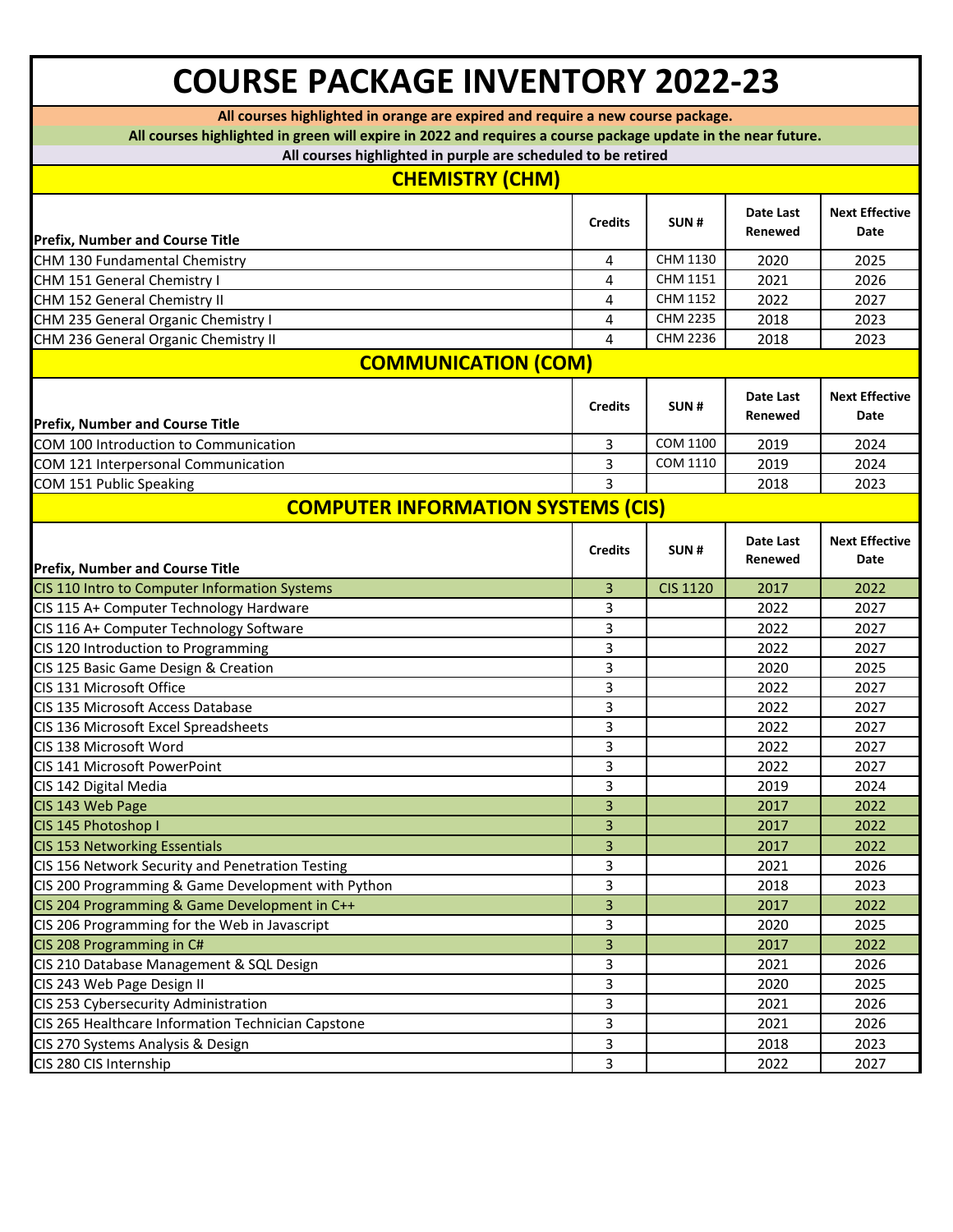## **COURSE PACKAGE INVENTORY 2022-23**

**All courses highlighted in orange are expired and require a new course package.**

**All courses highlighted in green will expire in 2022 and requires a course package update in the near future.**

| All courses highlighted in green will expire in 2022 and requires a course package update in the near future. |                |                 |                      |                               |  |  |
|---------------------------------------------------------------------------------------------------------------|----------------|-----------------|----------------------|-------------------------------|--|--|
| All courses highlighted in purple are scheduled to be retired                                                 |                |                 |                      |                               |  |  |
| <b>CHEMISTRY (CHM)</b>                                                                                        |                |                 |                      |                               |  |  |
| <b>Prefix, Number and Course Title</b>                                                                        | <b>Credits</b> | SUN#            | Date Last<br>Renewed | <b>Next Effective</b><br>Date |  |  |
| CHM 130 Fundamental Chemistry                                                                                 | 4              | CHM 1130        | 2020                 | 2025                          |  |  |
| CHM 151 General Chemistry I                                                                                   | 4              | CHM 1151        | 2021                 | 2026                          |  |  |
| CHM 152 General Chemistry II                                                                                  | 4              | CHM 1152        | 2022                 | 2027                          |  |  |
| CHM 235 General Organic Chemistry I                                                                           | 4              | <b>CHM 2235</b> | 2018                 | 2023                          |  |  |
| CHM 236 General Organic Chemistry II                                                                          | 4              | CHM 2236        | 2018                 | 2023                          |  |  |
| <b>COMMUNICATION (COM)</b>                                                                                    |                |                 |                      |                               |  |  |
|                                                                                                               |                |                 |                      |                               |  |  |
| <b>Prefix, Number and Course Title</b>                                                                        | <b>Credits</b> | SUN#            | Date Last<br>Renewed | <b>Next Effective</b><br>Date |  |  |
| COM 100 Introduction to Communication                                                                         | 3              | COM 1100        | 2019                 | 2024                          |  |  |
| COM 121 Interpersonal Communication                                                                           | 3              | COM 1110        | 2019                 | 2024                          |  |  |
| COM 151 Public Speaking                                                                                       | 3              |                 | 2018                 | 2023                          |  |  |
| <b>COMPUTER INFORMATION SYSTEMS (CIS)</b>                                                                     |                |                 |                      |                               |  |  |
| <b>Prefix, Number and Course Title</b>                                                                        | <b>Credits</b> | SUN#            | Date Last<br>Renewed | <b>Next Effective</b><br>Date |  |  |
| CIS 110 Intro to Computer Information Systems                                                                 | 3              | <b>CIS 1120</b> | 2017                 | 2022                          |  |  |
| CIS 115 A+ Computer Technology Hardware                                                                       | 3              |                 | 2022                 | 2027                          |  |  |
| CIS 116 A+ Computer Technology Software                                                                       | 3              |                 | 2022                 | 2027                          |  |  |
| CIS 120 Introduction to Programming                                                                           | 3              |                 | 2022                 | 2027                          |  |  |
| CIS 125 Basic Game Design & Creation                                                                          | 3              |                 | 2020                 | 2025                          |  |  |
| CIS 131 Microsoft Office                                                                                      | 3              |                 | 2022                 | 2027                          |  |  |
| CIS 135 Microsoft Access Database                                                                             | 3              |                 | 2022                 | 2027                          |  |  |
| CIS 136 Microsoft Excel Spreadsheets                                                                          | 3              |                 | 2022                 | 2027                          |  |  |
| CIS 138 Microsoft Word                                                                                        | 3              |                 | 2022                 | 2027                          |  |  |
| CIS 141 Microsoft PowerPoint                                                                                  | 3              |                 | 2022                 | 2027                          |  |  |
| CIS 142 Digital Media                                                                                         | 3              |                 | 2019                 | 2024                          |  |  |
| CIS 143 Web Page                                                                                              | 3              |                 | 2017                 | 2022                          |  |  |
| CIS 145 Photoshop I                                                                                           | 3              |                 | 2017                 | 2022                          |  |  |
| <b>CIS 153 Networking Essentials</b>                                                                          | $\mathsf 3$    |                 | 2017                 | 2022                          |  |  |
| CIS 156 Network Security and Penetration Testing                                                              | 3              |                 | 2021                 | 2026                          |  |  |
| CIS 200 Programming & Game Development with Python                                                            | 3              |                 | 2018                 | 2023                          |  |  |
| CIS 204 Programming & Game Development in C++                                                                 | 3              |                 | 2017                 | 2022                          |  |  |
| CIS 206 Programming for the Web in Javascript                                                                 | 3              |                 | 2020                 | 2025                          |  |  |
| CIS 208 Programming in C#                                                                                     | 3              |                 | 2017                 | 2022                          |  |  |
| CIS 210 Database Management & SQL Design                                                                      | 3              |                 | 2021                 | 2026                          |  |  |
| CIS 243 Web Page Design II                                                                                    | 3              |                 | 2020                 | 2025                          |  |  |
| CIS 253 Cybersecurity Administration                                                                          | 3              |                 | 2021                 | 2026                          |  |  |
| CIS 265 Healthcare Information Technician Capstone                                                            | 3              |                 | 2021                 | 2026                          |  |  |
| CIS 270 Systems Analysis & Design                                                                             | 3              |                 | 2018                 | 2023                          |  |  |
| CIS 280 CIS Internship                                                                                        | 3              |                 | 2022                 | 2027                          |  |  |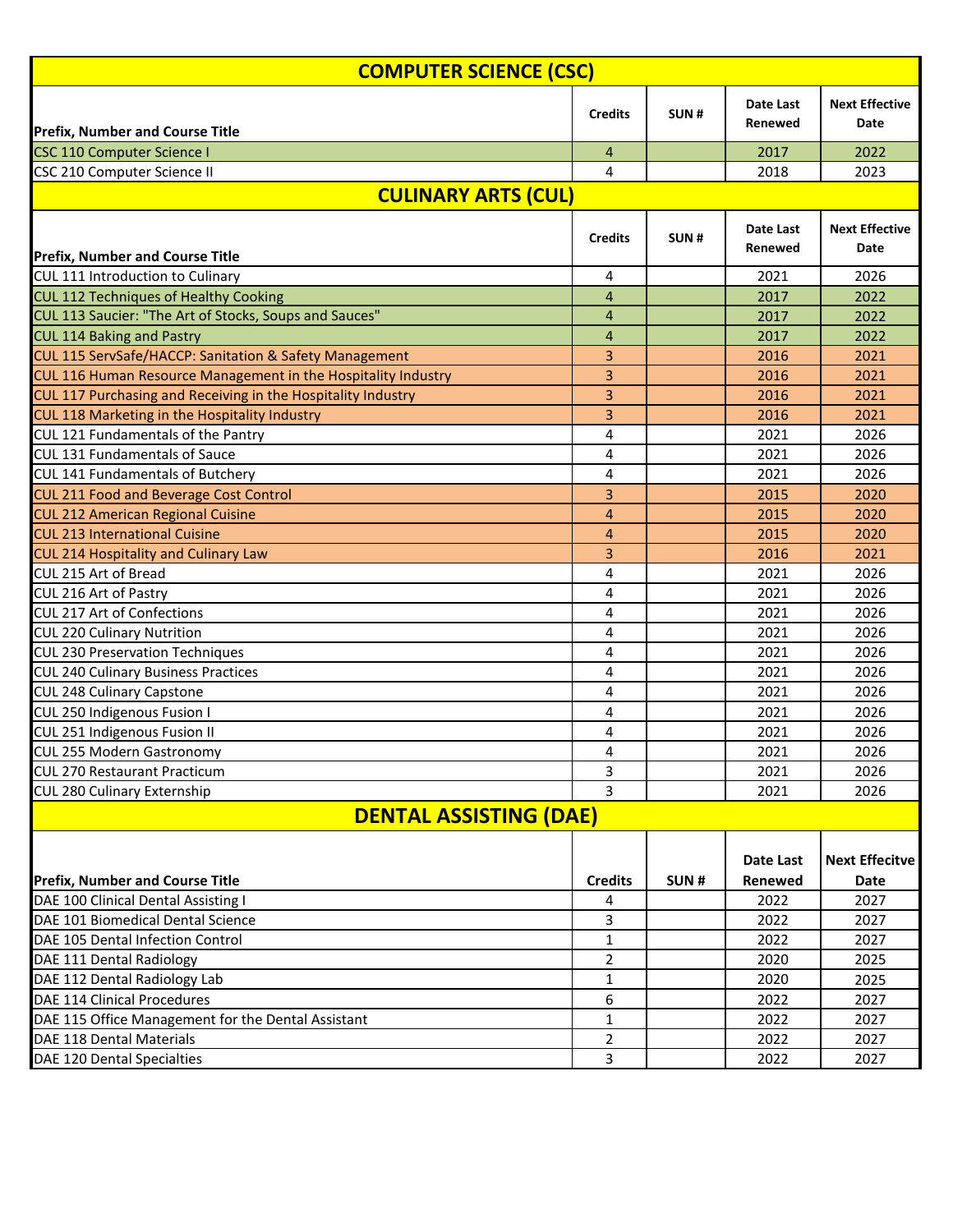| <b>COMPUTER SCIENCE (CSC)</b>                                 |                |      |                      |                               |  |  |
|---------------------------------------------------------------|----------------|------|----------------------|-------------------------------|--|--|
| <b>Prefix, Number and Course Title</b>                        | <b>Credits</b> | SUN# | Date Last<br>Renewed | <b>Next Effective</b><br>Date |  |  |
| <b>CSC 110 Computer Science I</b>                             | 4              |      | 2017                 | 2022                          |  |  |
| CSC 210 Computer Science II                                   | 4              |      | 2018                 | 2023                          |  |  |
|                                                               |                |      |                      |                               |  |  |
| <b>CULINARY ARTS (CUL)</b>                                    |                |      |                      |                               |  |  |
| <b>Prefix, Number and Course Title</b>                        | <b>Credits</b> | SUN# | Date Last<br>Renewed | <b>Next Effective</b><br>Date |  |  |
| <b>CUL 111 Introduction to Culinary</b>                       | 4              |      | 2021                 | 2026                          |  |  |
| CUL 112 Techniques of Healthy Cooking                         | $\overline{4}$ |      | 2017                 | 2022                          |  |  |
| CUL 113 Saucier: "The Art of Stocks, Soups and Sauces"        | 4              |      | 2017                 | 2022                          |  |  |
| <b>CUL 114 Baking and Pastry</b>                              | 4              |      | 2017                 | 2022                          |  |  |
| CUL 115 ServSafe/HACCP: Sanitation & Safety Management        | 3              |      | 2016                 | 2021                          |  |  |
| CUL 116 Human Resource Management in the Hospitality Industry | 3              |      | 2016                 | 2021                          |  |  |
| CUL 117 Purchasing and Receiving in the Hospitality Industry  | 3              |      | 2016                 | 2021                          |  |  |
| CUL 118 Marketing in the Hospitality Industry                 | 3              |      | 2016                 | 2021                          |  |  |
| CUL 121 Fundamentals of the Pantry                            | 4              |      | 2021                 | 2026                          |  |  |
| <b>CUL 131 Fundamentals of Sauce</b>                          | 4              |      | 2021                 | 2026                          |  |  |
| <b>CUL 141 Fundamentals of Butchery</b>                       | 4              |      | 2021                 | 2026                          |  |  |
| <b>CUL 211 Food and Beverage Cost Control</b>                 | 3              |      | 2015                 | 2020                          |  |  |
| <b>CUL 212 American Regional Cuisine</b>                      | 4              |      | 2015                 | 2020                          |  |  |
| <b>CUL 213 International Cuisine</b>                          | 4              |      | 2015                 | 2020                          |  |  |
| CUL 214 Hospitality and Culinary Law                          | 3              |      | 2016                 | 2021                          |  |  |
| CUL 215 Art of Bread                                          | 4              |      | 2021                 | 2026                          |  |  |
| CUL 216 Art of Pastry                                         | 4              |      | 2021                 | 2026                          |  |  |
| <b>CUL 217 Art of Confections</b>                             | 4              |      | 2021                 | 2026                          |  |  |
| <b>CUL 220 Culinary Nutrition</b>                             | 4              |      | 2021                 | 2026                          |  |  |
| <b>CUL 230 Preservation Techniques</b>                        | 4              |      | 2021                 | 2026                          |  |  |
| <b>CUL 240 Culinary Business Practices</b>                    | 4              |      | 2021                 | 2026                          |  |  |
| <b>CUL 248 Culinary Capstone</b>                              | 4              |      | 2021                 | 2026                          |  |  |
| CUL 250 Indigenous Fusion I                                   | 4              |      | 2021                 | 2026                          |  |  |
| CUL 251 Indigenous Fusion II                                  | 4              |      | 2021                 | 2026                          |  |  |
| CUL 255 Modern Gastronomy                                     | 4              |      | 2021                 | 2026                          |  |  |
| CUL 270 Restaurant Practicum                                  | 3              |      | 2021                 | 2026                          |  |  |
| CUL 280 Culinary Externship                                   | 3              |      | 2021                 | 2026                          |  |  |
| <b>DENTAL ASSISTING (DAE)</b>                                 |                |      |                      |                               |  |  |
|                                                               |                |      | Date Last            | <b>Next Effecitve</b>         |  |  |
| <b>Prefix, Number and Course Title</b>                        | <b>Credits</b> | SUN# | Renewed              | <b>Date</b>                   |  |  |
| DAE 100 Clinical Dental Assisting I                           | 4              |      | 2022                 | 2027                          |  |  |
| DAE 101 Biomedical Dental Science                             | 3              |      | 2022                 | 2027                          |  |  |
| DAE 105 Dental Infection Control                              | 1              |      | 2022                 | 2027                          |  |  |
| DAE 111 Dental Radiology                                      | 2              |      | 2020                 | 2025                          |  |  |
| DAE 112 Dental Radiology Lab                                  | 1              |      | 2020                 | 2025                          |  |  |
| DAE 114 Clinical Procedures                                   | 6              |      | 2022                 | 2027                          |  |  |
| DAE 115 Office Management for the Dental Assistant            | 1              |      | 2022                 | 2027                          |  |  |
| DAE 118 Dental Materials                                      | 2              |      | 2022                 | 2027                          |  |  |
| DAE 120 Dental Specialties                                    | 3              |      | 2022                 | 2027                          |  |  |